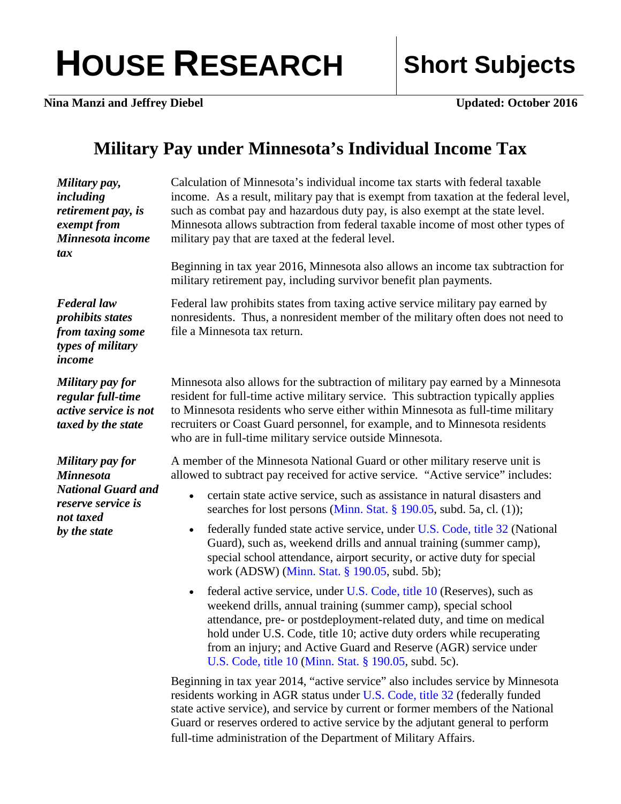## HOUSE RESEARCH Short Subjects

**Nina Manzi and Jeffrey Diebel Updated: October 2016** 

## **Military Pay under Minnesota's Individual Income Tax**

| Military pay,<br>including<br>retirement pay, is<br>exempt from<br>Minnesota income<br>tax                           | Calculation of Minnesota's individual income tax starts with federal taxable<br>income. As a result, military pay that is exempt from taxation at the federal level,<br>such as combat pay and hazardous duty pay, is also exempt at the state level.<br>Minnesota allows subtraction from federal taxable income of most other types of<br>military pay that are taxed at the federal level.<br>Beginning in tax year 2016, Minnesota also allows an income tax subtraction for<br>military retirement pay, including survivor benefit plan payments.                                                                                                                                                                                                                                                                                                                                                                                                                                                                                                                                                                                                                                                                              |
|----------------------------------------------------------------------------------------------------------------------|-------------------------------------------------------------------------------------------------------------------------------------------------------------------------------------------------------------------------------------------------------------------------------------------------------------------------------------------------------------------------------------------------------------------------------------------------------------------------------------------------------------------------------------------------------------------------------------------------------------------------------------------------------------------------------------------------------------------------------------------------------------------------------------------------------------------------------------------------------------------------------------------------------------------------------------------------------------------------------------------------------------------------------------------------------------------------------------------------------------------------------------------------------------------------------------------------------------------------------------|
| <b>Federal</b> law<br>prohibits states<br>from taxing some<br>types of military<br>income                            | Federal law prohibits states from taxing active service military pay earned by<br>nonresidents. Thus, a nonresident member of the military often does not need to<br>file a Minnesota tax return.                                                                                                                                                                                                                                                                                                                                                                                                                                                                                                                                                                                                                                                                                                                                                                                                                                                                                                                                                                                                                                   |
| Military pay for<br>regular full-time<br>active service is not<br>taxed by the state                                 | Minnesota also allows for the subtraction of military pay earned by a Minnesota<br>resident for full-time active military service. This subtraction typically applies<br>to Minnesota residents who serve either within Minnesota as full-time military<br>recruiters or Coast Guard personnel, for example, and to Minnesota residents<br>who are in full-time military service outside Minnesota.                                                                                                                                                                                                                                                                                                                                                                                                                                                                                                                                                                                                                                                                                                                                                                                                                                 |
| Military pay for<br><b>Minnesota</b><br><b>National Guard and</b><br>reserve service is<br>not taxed<br>by the state | A member of the Minnesota National Guard or other military reserve unit is<br>allowed to subtract pay received for active service. "Active service" includes:<br>certain state active service, such as assistance in natural disasters and<br>$\bullet$<br>searches for lost persons (Minn. Stat. § 190.05, subd. 5a, cl. (1));<br>federally funded state active service, under U.S. Code, title 32 (National<br>$\bullet$<br>Guard), such as, weekend drills and annual training (summer camp),<br>special school attendance, airport security, or active duty for special<br>work (ADSW) (Minn. Stat. § 190.05, subd. 5b);<br>federal active service, under U.S. Code, title 10 (Reserves), such as<br>$\bullet$<br>weekend drills, annual training (summer camp), special school<br>attendance, pre- or postdeployment-related duty, and time on medical<br>hold under U.S. Code, title 10; active duty orders while recuperating<br>from an injury; and Active Guard and Reserve (AGR) service under<br>U.S. Code, title 10 (Minn. Stat. § 190.05, subd. 5c).<br>Beginning in tax year 2014, "active service" also includes service by Minnesota<br>residents working in AGR status under U.S. Code, title 32 (federally funded |

state active service), and service by current or former members of the National Guard or reserves ordered to active service by the adjutant general to perform full-time administration of the Department of Military Affairs.